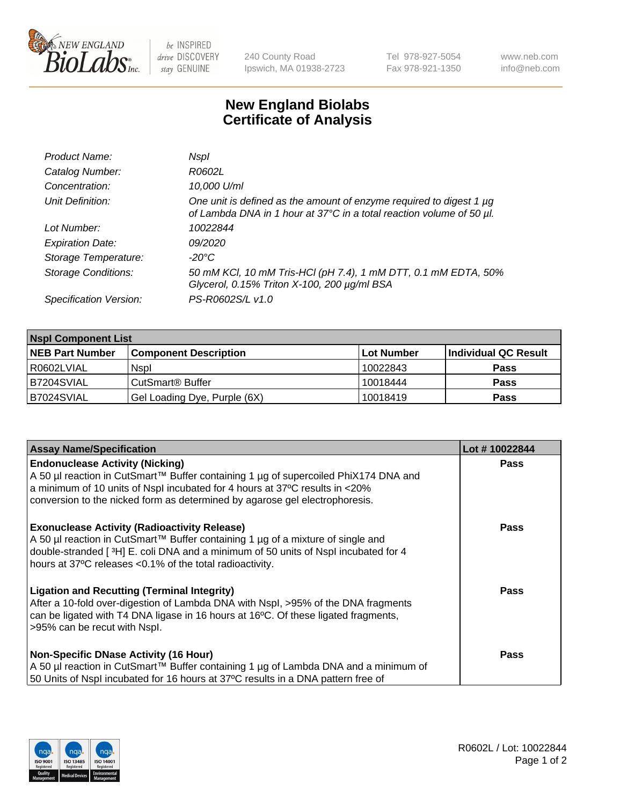

 $be$  INSPIRED drive DISCOVERY stay GENUINE

240 County Road Ipswich, MA 01938-2723 Tel 978-927-5054 Fax 978-921-1350 www.neb.com info@neb.com

## **New England Biolabs Certificate of Analysis**

| Product Name:              | Nspl                                                                                                                                             |
|----------------------------|--------------------------------------------------------------------------------------------------------------------------------------------------|
| Catalog Number:            | R0602L                                                                                                                                           |
| Concentration:             | 10,000 U/ml                                                                                                                                      |
| Unit Definition:           | One unit is defined as the amount of enzyme required to digest 1 $\mu$ g<br>of Lambda DNA in 1 hour at 37°C in a total reaction volume of 50 µl. |
| Lot Number:                | 10022844                                                                                                                                         |
| <b>Expiration Date:</b>    | 09/2020                                                                                                                                          |
| Storage Temperature:       | -20°C                                                                                                                                            |
| <b>Storage Conditions:</b> | 50 mM KCl, 10 mM Tris-HCl (pH 7.4), 1 mM DTT, 0.1 mM EDTA, 50%<br>Glycerol, 0.15% Triton X-100, 200 µg/ml BSA                                    |
| Specification Version:     | PS-R0602S/L v1.0                                                                                                                                 |

| <b>Nspl Component List</b> |                              |            |                      |  |  |
|----------------------------|------------------------------|------------|----------------------|--|--|
| <b>NEB Part Number</b>     | <b>Component Description</b> | Lot Number | Individual QC Result |  |  |
| R0602LVIAL                 | <b>Nspl</b>                  | 10022843   | <b>Pass</b>          |  |  |
| B7204SVIAL                 | CutSmart <sup>®</sup> Buffer | 10018444   | <b>Pass</b>          |  |  |
| B7024SVIAL                 | Gel Loading Dye, Purple (6X) | 10018419   | <b>Pass</b>          |  |  |

| <b>Assay Name/Specification</b>                                                                                                                                                                                                                                                          | Lot #10022844 |
|------------------------------------------------------------------------------------------------------------------------------------------------------------------------------------------------------------------------------------------------------------------------------------------|---------------|
| <b>Endonuclease Activity (Nicking)</b><br>  A 50 µl reaction in CutSmart™ Buffer containing 1 µg of supercoiled PhiX174 DNA and                                                                                                                                                          | <b>Pass</b>   |
| a minimum of 10 units of Nspl incubated for 4 hours at 37°C results in <20%<br>conversion to the nicked form as determined by agarose gel electrophoresis.                                                                                                                               |               |
| <b>Exonuclease Activity (Radioactivity Release)</b><br>A 50 µl reaction in CutSmart™ Buffer containing 1 µg of a mixture of single and<br>double-stranded [3H] E. coli DNA and a minimum of 50 units of Nspl incubated for 4<br>hours at 37°C releases <0.1% of the total radioactivity. | <b>Pass</b>   |
| Ligation and Recutting (Terminal Integrity)<br>After a 10-fold over-digestion of Lambda DNA with Nspl, >95% of the DNA fragments<br>can be ligated with T4 DNA ligase in 16 hours at 16 <sup>o</sup> C. Of these ligated fragments,<br>>95% can be recut with Nspl.                      | <b>Pass</b>   |
| Non-Specific DNase Activity (16 Hour)                                                                                                                                                                                                                                                    | <b>Pass</b>   |
| A 50 µl reaction in CutSmart™ Buffer containing 1 µg of Lambda DNA and a minimum of                                                                                                                                                                                                      |               |
| 50 Units of Nspl incubated for 16 hours at 37°C results in a DNA pattern free of                                                                                                                                                                                                         |               |